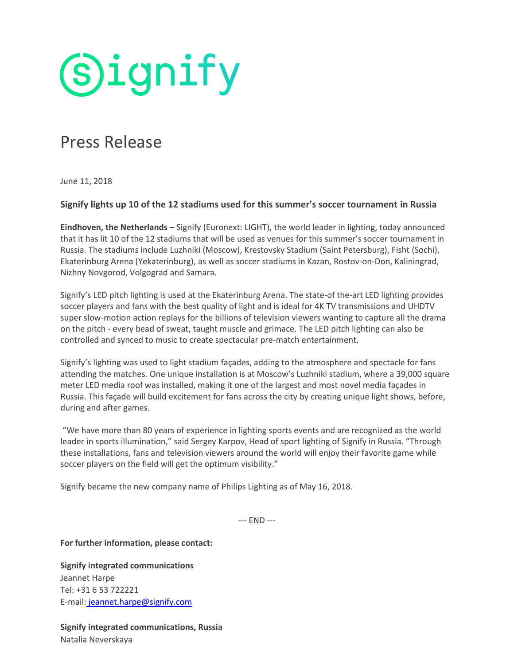**Signify** 

## Press Release

June 11, 2018

## **Signify lights up 10 of the 12 stadiums used for this summer's soccer tournament in Russia**

**Eindhoven, the Netherlands –** Signify (Euronext: LIGHT), the world leader in lighting, today announced that it has lit 10 of the 12 stadiums that will be used as venues for this summer's soccer tournament in Russia. The stadiums include Luzhniki (Moscow), Krestovsky Stadium (Saint Petersburg), Fisht (Sochi), Ekaterinburg Arena (Yekaterinburg), as well as soccer stadiums in Kazan, Rostov-on-Don, Kaliningrad, Nizhny Novgorod, Volgograd and Samara.

Signify's LED pitch lighting is used at the Ekaterinburg Arena. The state-of the-art LED lighting provides soccer players and fans with the best quality of light and is ideal for 4K TV transmissions and UHDTV super slow-motion action replays for the billions of television viewers wanting to capture all the drama on the pitch - every bead of sweat, taught muscle and grimace. The LED pitch lighting can also be controlled and synced to music to create spectacular pre-match entertainment.

Signify's lighting was used to light stadium façades, adding to the atmosphere and spectacle for fans attending the matches. One unique installation is at Moscow's Luzhniki stadium, where a 39,000 square meter LED media roof was installed, making it one of the largest and most novel media façades in Russia. This façade will build excitement for fans across the city by creating unique light shows, before, during and after games.

"We have more than 80 years of experience in lighting sports events and are recognized as the world leader in sports illumination," said Sergey Karpov, Head of sport lighting of Signify in Russia. "Through these installations, fans and television viewers around the world will enjoy their favorite game while soccer players on the field will get the optimum visibility."

Signify became the new company name of Philips Lighting as of May 16, 2018.

--- END ---

**For further information, please contact:**

**Signify integrated communications** Jeannet Harpe Tel: +31 6 53 722221 E-mail: jeannet.harpe@signify.com

**Signify integrated communications, Russia** Natalia Neverskaya